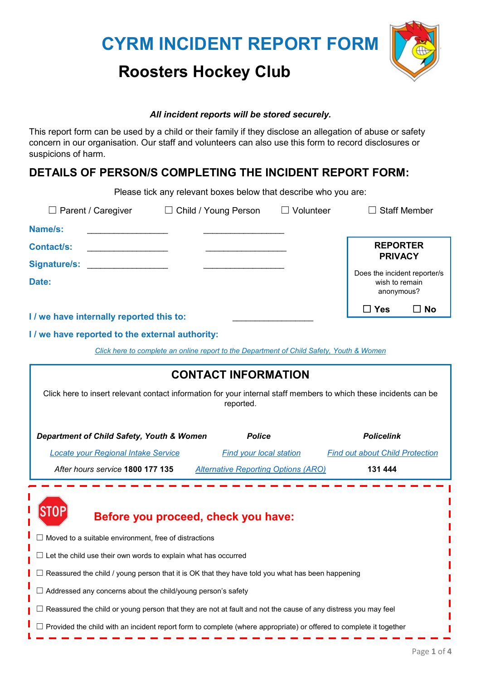# **CYRM INCIDENT REPORT FORM**



# **Roosters Hockey Club**

#### *All incident reports will be stored securely.*

This report form can be used by a child or their family if they disclose an allegation of abuse or safety concern in our organisation. Our staff and volunteers can also use this form to record disclosures or suspicions of harm.

### **DETAILS OF PERSON/S COMPLETING THE INCIDENT REPORT FORM:**

|                                                                                                                                                                                                                                | Please tick any relevant boxes below that describe who you are:                          |                      |                                                              |      |
|--------------------------------------------------------------------------------------------------------------------------------------------------------------------------------------------------------------------------------|------------------------------------------------------------------------------------------|----------------------|--------------------------------------------------------------|------|
| $\Box$ Parent / Caregiver<br>$\Box$ Child / Young Person                                                                                                                                                                       |                                                                                          | Volunteer<br>$\perp$ | <b>Staff Member</b>                                          |      |
| Name/s:                                                                                                                                                                                                                        |                                                                                          |                      |                                                              |      |
| <b>Contact/s:</b>                                                                                                                                                                                                              |                                                                                          |                      | <b>REPORTER</b><br><b>PRIVACY</b>                            |      |
| Signature/s: the contract of the contract of the contract of the contract of the contract of the contract of the contract of the contract of the contract of the contract of the contract of the contract of the contract of t |                                                                                          |                      |                                                              |      |
| Date:                                                                                                                                                                                                                          |                                                                                          |                      | Does the incident reporter/s<br>wish to remain<br>anonymous? |      |
| I / we have internally reported this to:                                                                                                                                                                                       |                                                                                          |                      | $\Box$ Yes                                                   | ∐ No |
|                                                                                                                                                                                                                                |                                                                                          |                      |                                                              |      |
| I / we have reported to the external authority:                                                                                                                                                                                |                                                                                          |                      |                                                              |      |
|                                                                                                                                                                                                                                | Click here to complete an online report to the Department of Child Safety, Youth & Women |                      |                                                              |      |

| <b>CONTACT INFORMATION</b>                                                                                                     |                                            |                                        |  |  |  |  |  |
|--------------------------------------------------------------------------------------------------------------------------------|--------------------------------------------|----------------------------------------|--|--|--|--|--|
| Click here to insert relevant contact information for your internal staff members to which these incidents can be<br>reported. |                                            |                                        |  |  |  |  |  |
| Department of Child Safety, Youth & Women                                                                                      | <b>Police</b>                              | <b>Policelink</b>                      |  |  |  |  |  |
| <b>Locate your Regional Intake Service</b>                                                                                     | <b>Find your local station</b>             | <b>Find out about Child Protection</b> |  |  |  |  |  |
| After hours service 1800 177 135                                                                                               | <b>Alternative Reporting Options (ARO)</b> | 131 444                                |  |  |  |  |  |
| Before you proceed, check you have:                                                                                            |                                            |                                        |  |  |  |  |  |
| Moved to a suitable environment, free of distractions                                                                          |                                            |                                        |  |  |  |  |  |
| Let the child use their own words to explain what has occurred                                                                 |                                            |                                        |  |  |  |  |  |
| Reassured the child / young person that it is OK that they have told you what has been happening                               |                                            |                                        |  |  |  |  |  |
| Addressed any concerns about the child/young person's safety                                                                   |                                            |                                        |  |  |  |  |  |
| Reassured the child or young person that they are not at fault and not the cause of any distress you may feel                  |                                            |                                        |  |  |  |  |  |
| $\Box$ Provided the child with an incident report form to complete (where appropriate) or offered to complete it together      |                                            |                                        |  |  |  |  |  |

 $\overline{\phantom{a}}$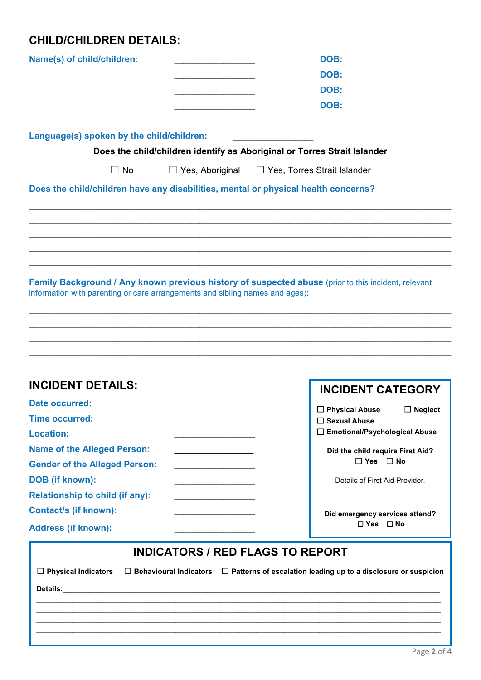# **CHILD/CHILDREN DETAILS:**

ı

| Name(s) of child/children:                                                                                                           |                                                   | DOB:                                                                                                |  |  |  |  |
|--------------------------------------------------------------------------------------------------------------------------------------|---------------------------------------------------|-----------------------------------------------------------------------------------------------------|--|--|--|--|
|                                                                                                                                      |                                                   | DOB:                                                                                                |  |  |  |  |
|                                                                                                                                      |                                                   | DOB:                                                                                                |  |  |  |  |
|                                                                                                                                      |                                                   | DOB:                                                                                                |  |  |  |  |
| Language(s) spoken by the child/children:                                                                                            |                                                   |                                                                                                     |  |  |  |  |
|                                                                                                                                      |                                                   | Does the child/children identify as Aboriginal or Torres Strait Islander                            |  |  |  |  |
| $\Box$ No                                                                                                                            |                                                   | $\Box$ Yes, Aboriginal $\Box$ Yes, Torres Strait Islander                                           |  |  |  |  |
| Does the child/children have any disabilities, mental or physical health concerns?                                                   |                                                   |                                                                                                     |  |  |  |  |
|                                                                                                                                      |                                                   |                                                                                                     |  |  |  |  |
|                                                                                                                                      |                                                   |                                                                                                     |  |  |  |  |
|                                                                                                                                      |                                                   |                                                                                                     |  |  |  |  |
|                                                                                                                                      |                                                   |                                                                                                     |  |  |  |  |
|                                                                                                                                      |                                                   |                                                                                                     |  |  |  |  |
|                                                                                                                                      |                                                   |                                                                                                     |  |  |  |  |
|                                                                                                                                      |                                                   | Family Background / Any known previous history of suspected abuse (prior to this incident, relevant |  |  |  |  |
| information with parenting or care arrangements and sibling names and ages):                                                         |                                                   |                                                                                                     |  |  |  |  |
|                                                                                                                                      |                                                   |                                                                                                     |  |  |  |  |
|                                                                                                                                      |                                                   |                                                                                                     |  |  |  |  |
|                                                                                                                                      |                                                   |                                                                                                     |  |  |  |  |
|                                                                                                                                      |                                                   |                                                                                                     |  |  |  |  |
|                                                                                                                                      |                                                   |                                                                                                     |  |  |  |  |
| <b>INCIDENT DETAILS:</b>                                                                                                             |                                                   | <b>INCIDENT CATEGORY</b>                                                                            |  |  |  |  |
| Date occurred:                                                                                                                       |                                                   |                                                                                                     |  |  |  |  |
| <b>Time occurred:</b>                                                                                                                |                                                   | $\Box$ Physical Abuse<br>$\Box$ Neglect<br>$\Box$ Sexual Abuse                                      |  |  |  |  |
| <b>Location:</b>                                                                                                                     |                                                   | □ Emotional/Psychological Abuse                                                                     |  |  |  |  |
| <b>Name of the Alleged Person:</b>                                                                                                   | <u> 1980 - Johann Barbara, martxa alemaniar a</u> | Did the child require First Aid?                                                                    |  |  |  |  |
| <b>Gender of the Alleged Person:</b>                                                                                                 | <u> 1990 - Johann Barbara, martxa</u>             | $\Box$ Yes $\Box$ No                                                                                |  |  |  |  |
| <b>DOB</b> (if known):                                                                                                               |                                                   | Details of First Aid Provider:                                                                      |  |  |  |  |
| <b>Relationship to child (if any):</b>                                                                                               |                                                   |                                                                                                     |  |  |  |  |
| <b>Contact/s (if known):</b>                                                                                                         | the control of the control of the control of      |                                                                                                     |  |  |  |  |
|                                                                                                                                      |                                                   | Did emergency services attend?<br>$\Box$ Yes $\Box$ No                                              |  |  |  |  |
| <b>Address (if known):</b>                                                                                                           |                                                   |                                                                                                     |  |  |  |  |
|                                                                                                                                      |                                                   | <b>INDICATORS / RED FLAGS TO REPORT</b>                                                             |  |  |  |  |
|                                                                                                                                      |                                                   |                                                                                                     |  |  |  |  |
| $\Box$ Physical Indicators<br>$\Box$ Patterns of escalation leading up to a disclosure or suspicion<br>$\Box$ Behavioural Indicators |                                                   |                                                                                                     |  |  |  |  |
| Details:<br>the control of the control of the control of the control of the control of the control of                                |                                                   |                                                                                                     |  |  |  |  |
|                                                                                                                                      |                                                   |                                                                                                     |  |  |  |  |
|                                                                                                                                      |                                                   |                                                                                                     |  |  |  |  |
|                                                                                                                                      |                                                   |                                                                                                     |  |  |  |  |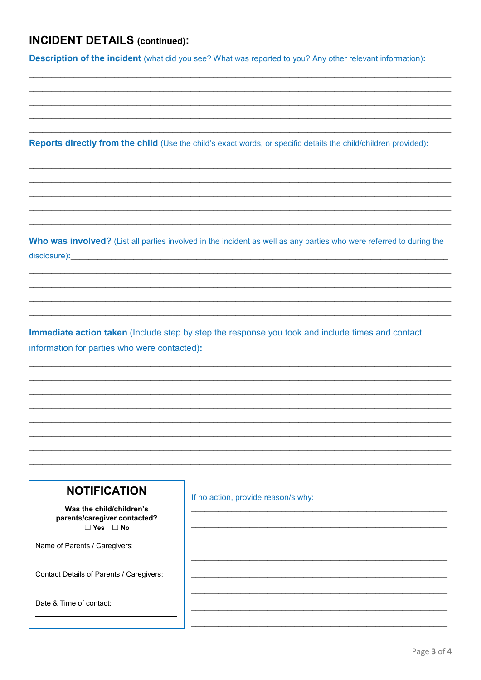#### **INCIDENT DETAILS (continued):**

**Description of the incident** (what did you see? What was reported to you? Any other relevant information):

Reports directly from the child (Use the child's exact words, or specific details the child/children provided):

Who was involved? (List all parties involved in the incident as well as any parties who were referred to during the disclosure):

Immediate action taken (Include step by step the response you took and include times and contact information for parties who were contacted):

#### **NOTIFICATION**

Was the child/children's parents/caregiver contacted?  $\Box$  Yes  $\Box$  No

Name of Parents / Caregivers:

Contact Details of Parents / Caregivers:

Date & Time of contact:

If no action, provide reason/s why: